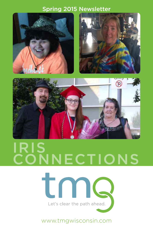#### Spring 2015 Newsletter







## IRIS **SNNECTIONS**



www.tmgwisconsin.com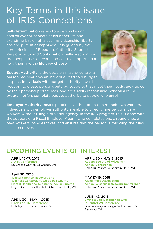## Key Terms in this issue of IRIS Connections

Self-determination refers to a person having control over all aspects of his or her life and exercising basic rights such as citizenship, liberty and the pursuit of happiness. It is guided by five core principles of Freedom, Authority, Support, Responsibility and Confirmation. Self-direction is a tool people use to create and control supports that help them live the life they choose.

**Budget Authority** is the decision-making control a person has over how an individual Medicaid budget is spent. Individuals with budget authority have the



freedom to create person-centered supports that meet their needs, are guided by their personal preferences, and are fiscally responsible. Wisconsin's IRIS program offers complete budget authority to people who enroll.

**Employer Authority** means people have the option to hire their own workers. Individuals with employer authority are able to directly hire personal care workers without using a provider agency. In the IRIS program, this is done with the support of a Fiscal Employer Agent, who completes background checks, pays workers, handles taxes, and ensures that the person is following the rules as an employer.

#### UPCOMING EVENTS OF INTEREST

#### APRIL 15–17, 2015 ADRC Conference La Crosse Center, La Crosse, WI

#### April 30, 2015

Western Region Recovery and Wellness Consortium, Chippewa County Mental Health and Substance Abuse Summit Heyde Center for the Arts, Chippewa Falls, WI

#### APRIL 30 – MAY 1, 2015 Circles of Life Conference Holiday Inn, Stevens Point, WI

#### APRIL 30 – MAY 2, 2015

Autism Society of Wisconsin Annual Conference Kalahari Resort, Wisconsin Dells, WI

#### MAY 17–19, 2015

Alzheimer's Association Annual Wisconsin Network Conference Kalahari Resort, Wisconsin Dells, WI

#### JUNE 1–2, 2015

#### Living a Self-Determined Life: InControl WI Conference

Glacier Canyon Lodge, Wilderness Resort, Baraboo, WI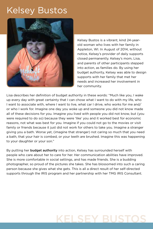## Kelsey Bustos



Kelsey Bustos is a vibrant, kind 24-yearold woman who lives with her family in Appleton, WI. In August of 2014, without notice, Kelsey's provider of daily supports closed permanently. Kelsey's mom, Lisa, and parents of other participants stepped into action, as families do. By using her budget authority, Kelsey was able to design supports with her family that met her needs and increased her involvement in her community.

Lisa describes her definition of budget authority in these words: "Much like you, I wake up every day with great certainty that I can chose what I want to do with my life, who I want to associate with, where I want to live, what car I drive, who works for me and/ or who I work for. Imagine one day you woke up and someone you did not know made all of these decisions for you. Imagine you lived with people you did not know, but (you were required to do so) because they were 'like' you and it worked best for economic reasons, not what was best for you. Imagine if you could not go to the movies or visit family or friends because it just did not work for others to take you. Imagine a stranger giving you a bath. Worse yet, (imagine that stranger) not caring so much that you need a bath, that your hair is combed, or your teeth are brushed. Imagine this was happening to your daughter or your son."

By putting her **budget authority** into action, Kelsey has surrounded herself with people who care about her to care for her. Her communication abilities have improved. She is more comfortable in social settings, and has made friends. She is a budding photographer, so proud of the pictures she takes. She has blossomed into such a caring person because she gives what she gets. This is all a direct result of her self-directed supports through the IRIS program and her partnership with her TMG IRIS Consultant.

## KELSEY BUSTOS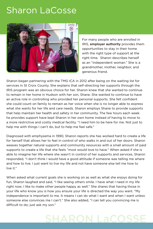## Sharon LaCosse



For many people who are enrolled in IRIS, employer authority provides them opportunities to stay in their home with the right type of support at the right time. Sharon describes herself as an "independent woman." She is a grandmother, mother, neighbor, and generous friend.

Sharon began partnering with the TMG ICA in 2012 after being on the waiting list for services in St Croix County. She explains that self-directing her supports through the IRIS program was an obvious choice for her. Sharon knew that she wanted to continue to remain in her home in Hudson with her son, Shane. She wanted to continue to have an active role in controlling who provided her personal supports. She felt confident she could count on family to remain as her voice when she is no longer able to express what she wants for her life and care needs. Sharon employs Shane to provide supports that help maintain her health and safety in her community. The few hours each week he provides support have kept Sharon in her own home instead of having to move to a more restrictive and costly medical facility. "I need him to be here for me. Not just to help me with things I can't do, but to help me feel safe."

Diagnosed with emphysema in 1990, Sharon reports she has worked hard to create a life for herself that allows her to feel in control of who walks in and out of her doors. Sharon weaves together natural supports and community resources with a small amount of paid supports to create a life that she feels "most would love to have." When asked if she is able to imagine her life where she wasn't in control of her supports and services, Sharon responded, "I don't think I would have a good attitude if someone was telling me where and how to live. I just want to live my life and not have someone else tell me how to live it."

When asked what current goals she is working on as well as what she enjoys doing for fun, Sharon laughed and said, "I like seeing others smile. I have what I need in my life right now; I like to make other people happy as well." She shares that having those in your life who know you is how you ensure your life is directed the way you want. "My independence is important to me. It means I can do what I want and when I want unless someone else convinces me I can't." She also added, "I can tell you convincing me is difficult to do; just ask my son."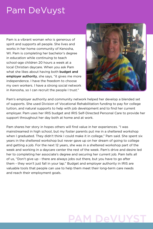## Pam DeVuyst

Pam is a vibrant woman who is generous of spirit and supports all people. She lives and works in her home community of Kenosha, WI. Pam is completing her bachelor's degree in education while continuing to teach school-age children 20 hours a week at a local Christian daycare. When you ask Pam what she likes about having both **budget and** employer authority, she says, "it gives me more independence. I have the freedom to choose my own workers. I have a strong social network in Kenosha, so I can recruit the people I trust."



Pam's employer authority and community network helped her develop a blended set of supports. She used Division of Vocational Rehabilitation funding to pay for college tuition, and natural supports to help with job development and to find her current employer. Pam uses her IRIS budget and IRIS Self-Directed Personal Care to provide her support throughout her day both at home and at work.

Pam shares her story in hopes others will find value in her experiences. "I was mainstreamed in high school, but my foster parents put me in a sheltered workshop when I graduated. They didn't think I could make it in college," Pam said. She spent six years in the sheltered workshop but never gave up on her dream of going to college and getting a job. For the next 12 years, she was in a sheltered workshop part of the week and working in a daycare center the rest of the week. Pam's drive and desire led her to completing her associate's degree and securing her current job. Pam tells all of us, "Don't give up - there are always jobs out there, but you have to go after them - they won't just fall in your lap." Budget and employer authority in IRIS are valuable tools that people can use to help them meet their long-term care needs and reach their employment goals.

## PAM DeVUYST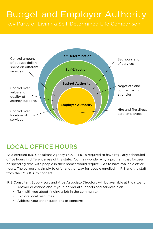#### Budget and Employer Authority Key Parts of Living a Self-Determined Life Comparison



#### LOCAL OFFICE HOURS

As a certified IRIS Consultant Agency (ICA), TMG is required to have regularly scheduled office hours in different areas of the state. You may wonder why a program that focuses on spending time with people in their homes would require ICAs to have available office hours. The purpose is simply to offer another way for people enrolled in IRIS and the staff from the TMG ICA to connect.

IRIS Consultant Supervisors and Area Associate Directors will be available at the sites to:

- Answer questions about your individual supports and services plan.
- Talk with you about finding a job in the community.
- Explore local resources.
- Address your other questions or concerns.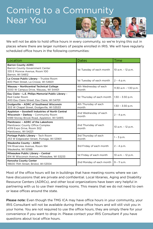## Coming to a Community Near You







We will not be able to hold office hours in every community, so we're trying this out in places where there are larger numbers of people enrolled in IRIS. We will have regularly scheduled office hours in the following communities:

| Location                                                                                                                             | Dates                          | Time                      |
|--------------------------------------------------------------------------------------------------------------------------------------|--------------------------------|---------------------------|
| <b>Barron County ADRC</b><br>Barron County Government Center<br>335 E Monroe Avenue, Room 100<br>Barron, WI 54812                    | 1st Tuesday of each month      | 10 a.m. - 12 p.m.         |
| La Crosse Public Library - Trustee Room<br>800 Main Street, La Crosse, WI 54601                                                      | 1st Tuesday of each month      | $2 - 4 p.m.$              |
| Wausau - Northcentral Technical College<br>1000 W Campus Drive, Wausau, WI 54401                                                     | 4th Wednesday of each<br>month | $11:30$ a.m - $1:30$ p.m. |
| Eau Claire - L.E. Philips Memorial Public Library -<br>Red Cedar Room<br>400 Eau Claire Street, Eau Claire, WI 54701                 | 1st Thursday of each month     | $1:30 - 3:30$ p.m.        |
| Dodgeville - ADRC of Southwest Wisconsin<br>303 W Chapel Street, Dodgeville, WI 53533                                                | 4th Thursday of each<br>month  | $1:30 - 3:30$ p.m.        |
| Appleton - Goodwill Industries of North Central<br>Wisconsin - Darboy - Community Room<br>N189 Stoney Brook Road, Appleton, WI 54915 | 2nd Wednesday of each<br>month | $2 - 4 p.m.$              |
| Manitowoc - ADRC of the Lakeshore<br>Manitowoc County Office Complex<br>4319 Expo Drive, Room 302<br>Manitowoc, WI 54221             | 2nd Thursday of each<br>month  | 10 a.m. - 12 p.m.         |
| Portage Public Library - Tech Room<br>253 W Edgewater Street, Portage, WI 53901                                                      | 3rd Thursday of each<br>month  | $1 - 3 p.m.$              |
| Waukesha County - ADRC<br>514 Riverview Avenue, Room 184<br>Waukesha, WI 53188                                                       | 3rd Friday of each month       | 2 - 4 p.m.                |
| Milwaukee Public Library - Central<br>814 W Wisconsin Avenue, Milwaukee, WI 53233                                                    | 1st Friday of each month       | 10 a.m. - 12 p.m.         |
| Kenosha County Center<br>19600 75th Street, Bristol, WI 53104                                                                        | 2nd Monday of each month       | $9 - 11$ a.m.             |

Most of the office hours will be in buildings that have meeting rooms where we can have discussions that are private and confidential. Local libraries, Aging and Disability Resource Centers (ADRCs), and other local organizations have been very helpful in partnering with us to use their meeting rooms. This means that we do not need to own or lease offices around the state.

Please note: Even though the TMG ICA may have office hours in your community, your IRIS Consultant will not be available during these office hours and will still visit you in your home. You are not required to use the office hours, they are simply there for your convenience if you want to drop in. Please contact your IRIS Consultant if you have questions about local office hours.